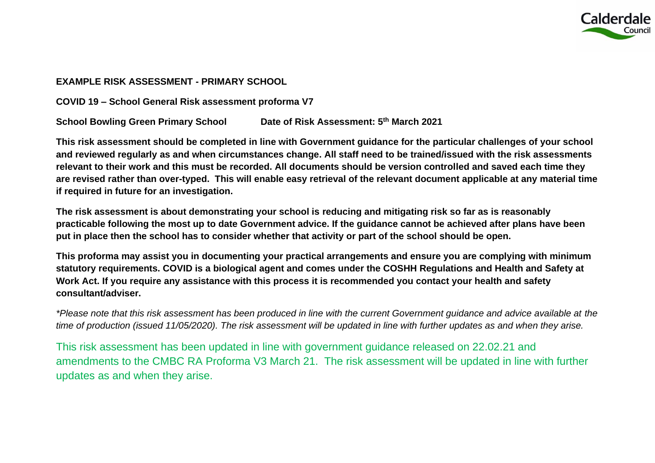

## **EXAMPLE RISK ASSESSMENT - PRIMARY SCHOOL**

**COVID 19 – School General Risk assessment proforma V7**

**School Bowling Green Primary School** Date of Risk Assessment: 5<sup>th</sup> March 2021

**This risk assessment should be completed in line with Government guidance for the particular challenges of your school and reviewed regularly as and when circumstances change. All staff need to be trained/issued with the risk assessments relevant to their work and this must be recorded. All documents should be version controlled and saved each time they are revised rather than over-typed. This will enable easy retrieval of the relevant document applicable at any material time if required in future for an investigation.**

**The risk assessment is about demonstrating your school is reducing and mitigating risk so far as is reasonably practicable following the most up to date Government advice. If the guidance cannot be achieved after plans have been put in place then the school has to consider whether that activity or part of the school should be open.** 

**This proforma may assist you in documenting your practical arrangements and ensure you are complying with minimum statutory requirements. COVID is a biological agent and comes under the COSHH Regulations and Health and Safety at Work Act. If you require any assistance with this process it is recommended you contact your health and safety consultant/adviser.**

*\*Please note that this risk assessment has been produced in line with the current Government guidance and advice available at the time of production (issued 11/05/2020). The risk assessment will be updated in line with further updates as and when they arise.* 

This risk assessment has been updated in line with government guidance released on 22.02.21 and amendments to the CMBC RA Proforma V3 March 21. The risk assessment will be updated in line with further updates as and when they arise.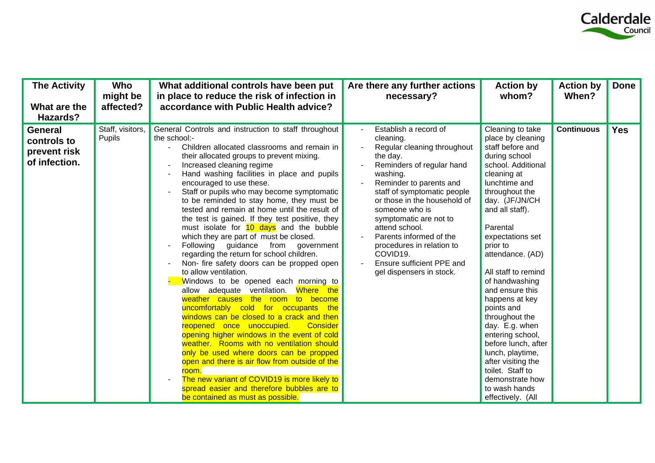

| <b>The Activity</b><br>What are the<br>Hazards?                | Who<br>might be<br>affected? | What additional controls have been put<br>in place to reduce the risk of infection in<br>accordance with Public Health advice?                                                                                                                                                                                                                                                                                                                                                                                                                                                                                                                                                                                                                                                                                                                                                                                                                                                                                                                                                                                                                                                                                                                                                                                        | Are there any further actions<br>necessary?                                                                                                                                                                                                                                                                                                                                                                 | <b>Action by</b><br>whom?                                                                                                                                                                                                                                                                                                                                                                                                                                                                                                                                 | <b>Action by</b><br>When? | <b>Done</b> |
|----------------------------------------------------------------|------------------------------|-----------------------------------------------------------------------------------------------------------------------------------------------------------------------------------------------------------------------------------------------------------------------------------------------------------------------------------------------------------------------------------------------------------------------------------------------------------------------------------------------------------------------------------------------------------------------------------------------------------------------------------------------------------------------------------------------------------------------------------------------------------------------------------------------------------------------------------------------------------------------------------------------------------------------------------------------------------------------------------------------------------------------------------------------------------------------------------------------------------------------------------------------------------------------------------------------------------------------------------------------------------------------------------------------------------------------|-------------------------------------------------------------------------------------------------------------------------------------------------------------------------------------------------------------------------------------------------------------------------------------------------------------------------------------------------------------------------------------------------------------|-----------------------------------------------------------------------------------------------------------------------------------------------------------------------------------------------------------------------------------------------------------------------------------------------------------------------------------------------------------------------------------------------------------------------------------------------------------------------------------------------------------------------------------------------------------|---------------------------|-------------|
| <b>General</b><br>controls to<br>prevent risk<br>of infection. | Staff, visitors,<br>Pupils   | General Controls and instruction to staff throughout<br>the school:-<br>Children allocated classrooms and remain in<br>their allocated groups to prevent mixing.<br>Increased cleaning regime<br>Hand washing facilities in place and pupils<br>encouraged to use these.<br>Staff or pupils who may become symptomatic<br>to be reminded to stay home, they must be<br>tested and remain at home until the result of<br>the test is gained. If they test positive, they<br>must isolate for 10 days and the bubble<br>which they are part of must be closed.<br>Following guidance<br>from<br>government<br>regarding the return for school children.<br>Non- fire safety doors can be propped open<br>to allow ventilation.<br>Windows to be opened each morning to<br>allow adequate ventilation. Where the<br>weather causes the room to become<br>uncomfortably cold for occupants the<br>windows can be closed to a crack and then<br>reopened once unoccupied.<br>Consider<br>opening higher windows in the event of cold<br>weather. Rooms with no ventilation should<br>only be used where doors can be propped<br>open and there is air flow from outside of the<br>room.<br>The new variant of COVID19 is more likely to<br>spread easier and therefore bubbles are to<br>be contained as must as possible. | Establish a record of<br>cleaning.<br>Regular cleaning throughout<br>the day.<br>Reminders of regular hand<br>washing.<br>Reminder to parents and<br>staff of symptomatic people<br>or those in the household of<br>someone who is<br>symptomatic are not to<br>attend school.<br>Parents informed of the<br>procedures in relation to<br>COVID19.<br>Ensure sufficient PPE and<br>gel dispensers in stock. | Cleaning to take<br>place by cleaning<br>staff before and<br>during school<br>school. Additional<br>cleaning at<br>lunchtime and<br>throughout the<br>day. (JF/JN/CH<br>and all staff).<br>Parental<br>expectations set<br>prior to<br>attendance. (AD)<br>All staff to remind<br>of handwashing<br>and ensure this<br>happens at key<br>points and<br>throughout the<br>day. E.g. when<br>entering school,<br>before lunch, after<br>lunch, playtime,<br>after visiting the<br>toilet. Staff to<br>demonstrate how<br>to wash hands<br>effectively. (All | <b>Continuous</b>         | <b>Yes</b>  |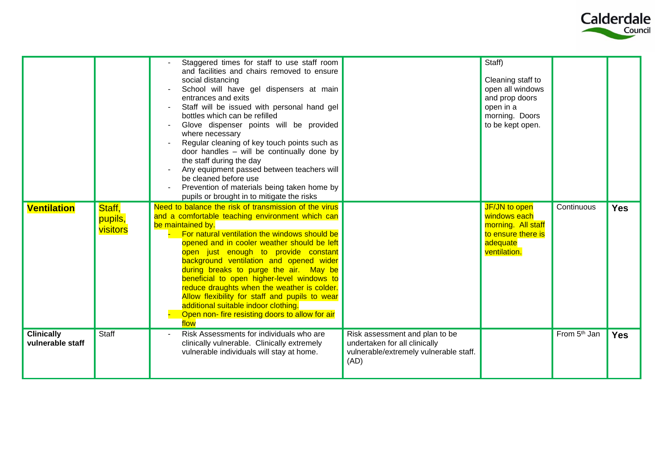

|                                       |                               | Staggered times for staff to use staff room<br>and facilities and chairs removed to ensure<br>social distancing<br>School will have gel dispensers at main<br>entrances and exits<br>Staff will be issued with personal hand gel<br>bottles which can be refilled<br>Glove dispenser points will be provided<br>where necessary<br>Regular cleaning of key touch points such as<br>door handles - will be continually done by<br>the staff during the day<br>Any equipment passed between teachers will<br>be cleaned before use<br>Prevention of materials being taken home by<br>pupils or brought in to mitigate the risks |                                                                                                                   | Staff)<br>Cleaning staff to<br>open all windows<br>and prop doors<br>open in a<br>morning. Doors<br>to be kept open. |                          |            |
|---------------------------------------|-------------------------------|-------------------------------------------------------------------------------------------------------------------------------------------------------------------------------------------------------------------------------------------------------------------------------------------------------------------------------------------------------------------------------------------------------------------------------------------------------------------------------------------------------------------------------------------------------------------------------------------------------------------------------|-------------------------------------------------------------------------------------------------------------------|----------------------------------------------------------------------------------------------------------------------|--------------------------|------------|
| <b>Ventilation</b>                    | Staff,<br>pupils,<br>visitors | Need to balance the risk of transmission of the virus<br>and a comfortable teaching environment which can<br>be maintained by.<br>For natural ventilation the windows should be<br>opened and in cooler weather should be left<br>open just enough to provide constant<br>background ventilation and opened wider<br>during breaks to purge the air. May be<br>beneficial to open higher-level windows to<br>reduce draughts when the weather is colder.<br>Allow flexibility for staff and pupils to wear<br>additional suitable indoor clothing.<br>Open non- fire resisting doors to allow for air<br>flow                 |                                                                                                                   | JF/JN to open<br>windows each<br>morning. All staff<br>to ensure there is<br>adequate<br>ventilation.                | Continuous               | <b>Yes</b> |
| <b>Clinically</b><br>vulnerable staff | Staff                         | Risk Assessments for individuals who are<br>clinically vulnerable. Clinically extremely<br>vulnerable individuals will stay at home.                                                                                                                                                                                                                                                                                                                                                                                                                                                                                          | Risk assessment and plan to be<br>undertaken for all clinically<br>vulnerable/extremely vulnerable staff.<br>(AD) |                                                                                                                      | From 5 <sup>th</sup> Jan | <b>Yes</b> |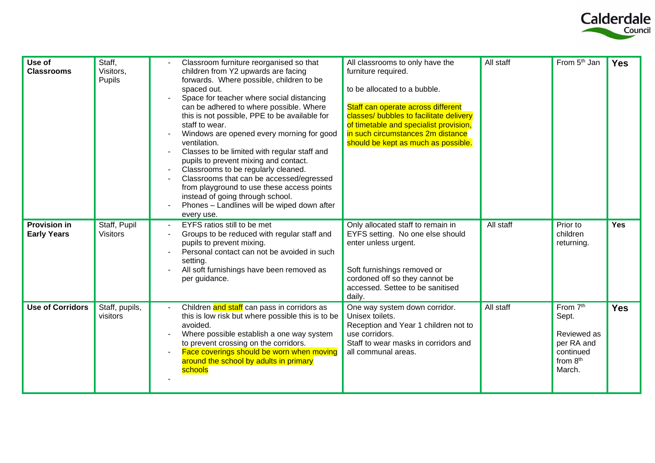

| Use of<br><b>Classrooms</b>               | Staff,<br>Visitors,<br>Pupils   | Classroom furniture reorganised so that<br>children from Y2 upwards are facing<br>forwards. Where possible, children to be<br>spaced out.<br>Space for teacher where social distancing<br>can be adhered to where possible. Where<br>this is not possible, PPE to be available for<br>staff to wear.<br>Windows are opened every morning for good<br>ventilation.<br>Classes to be limited with regular staff and<br>pupils to prevent mixing and contact.<br>Classrooms to be regularly cleaned.<br>Classrooms that can be accessed/egressed<br>from playground to use these access points<br>instead of going through school.<br>Phones - Landlines will be wiped down after<br>every use. | All classrooms to only have the<br>furniture required.<br>to be allocated to a bubble.<br>Staff can operate across different<br>classes/ bubbles to facilitate delivery<br>of timetable and specialist provision,<br>in such circumstances 2m distance<br>should be kept as much as possible. | All staff | From 5 <sup>th</sup> Jan                                                          | <b>Yes</b> |
|-------------------------------------------|---------------------------------|----------------------------------------------------------------------------------------------------------------------------------------------------------------------------------------------------------------------------------------------------------------------------------------------------------------------------------------------------------------------------------------------------------------------------------------------------------------------------------------------------------------------------------------------------------------------------------------------------------------------------------------------------------------------------------------------|-----------------------------------------------------------------------------------------------------------------------------------------------------------------------------------------------------------------------------------------------------------------------------------------------|-----------|-----------------------------------------------------------------------------------|------------|
| <b>Provision in</b><br><b>Early Years</b> | Staff, Pupil<br><b>Visitors</b> | EYFS ratios still to be met<br>Groups to be reduced with regular staff and<br>pupils to prevent mixing.<br>Personal contact can not be avoided in such<br>setting.<br>All soft furnishings have been removed as<br>per guidance.                                                                                                                                                                                                                                                                                                                                                                                                                                                             | Only allocated staff to remain in<br>EYFS setting. No one else should<br>enter unless urgent.<br>Soft furnishings removed or<br>cordoned off so they cannot be<br>accessed. Settee to be sanitised<br>daily.                                                                                  | All staff | Prior to<br>children<br>returning.                                                | <b>Yes</b> |
| <b>Use of Corridors</b>                   | Staff, pupils,<br>visitors      | Children and staff can pass in corridors as<br>this is low risk but where possible this is to be<br>avoided.<br>Where possible establish a one way system<br>to prevent crossing on the corridors.<br>Face coverings should be worn when moving<br>around the school by adults in primary<br>schools                                                                                                                                                                                                                                                                                                                                                                                         | One way system down corridor.<br>Unisex toilets.<br>Reception and Year 1 children not to<br>use corridors.<br>Staff to wear masks in corridors and<br>all communal areas.                                                                                                                     | All staff | From 7th<br>Sept.<br>Reviewed as<br>per RA and<br>continued<br>from 8th<br>March. | <b>Yes</b> |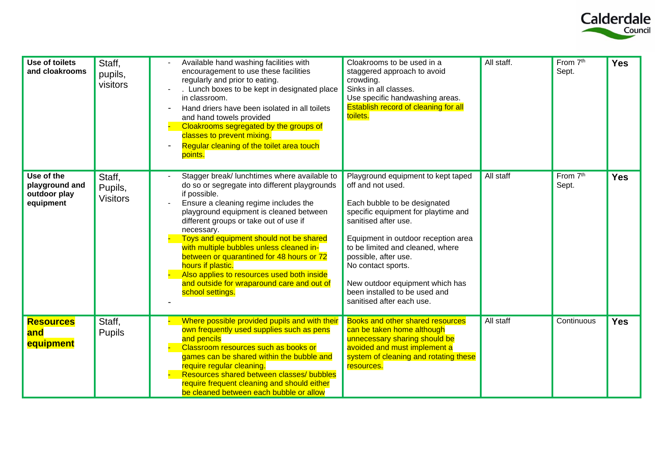

| Use of toilets<br>and cloakrooms                          | Staff,<br>pupils,<br>visitors        | Available hand washing facilities with<br>encouragement to use these facilities<br>regularly and prior to eating.<br>Lunch boxes to be kept in designated place<br>in classroom.<br>Hand driers have been isolated in all toilets<br>and hand towels provided<br>Cloakrooms segregated by the groups of<br>classes to prevent mixing.<br>Regular cleaning of the toilet area touch<br>points.                                                                                                                                      | Cloakrooms to be used in a<br>staggered approach to avoid<br>crowding.<br>Sinks in all classes.<br>Use specific handwashing areas.<br>Establish record of cleaning for all<br>toilets.                                                                                                                                                                                           | All staff. | From 7 <sup>th</sup><br>Sept. | <b>Yes</b> |
|-----------------------------------------------------------|--------------------------------------|------------------------------------------------------------------------------------------------------------------------------------------------------------------------------------------------------------------------------------------------------------------------------------------------------------------------------------------------------------------------------------------------------------------------------------------------------------------------------------------------------------------------------------|----------------------------------------------------------------------------------------------------------------------------------------------------------------------------------------------------------------------------------------------------------------------------------------------------------------------------------------------------------------------------------|------------|-------------------------------|------------|
| Use of the<br>playground and<br>outdoor play<br>equipment | Staff,<br>Pupils,<br><b>Visitors</b> | Stagger break/ lunchtimes where available to<br>do so or segregate into different playgrounds<br>if possible.<br>Ensure a cleaning regime includes the<br>playground equipment is cleaned between<br>different groups or take out of use if<br>necessary.<br>Toys and equipment should not be shared<br>with multiple bubbles unless cleaned in-<br>between or quarantined for 48 hours or 72<br>hours if plastic.<br>Also applies to resources used both inside<br>and outside for wraparound care and out of<br>school settings. | Playground equipment to kept taped<br>off and not used.<br>Each bubble to be designated<br>specific equipment for playtime and<br>sanitised after use.<br>Equipment in outdoor reception area<br>to be limited and cleaned, where<br>possible, after use.<br>No contact sports.<br>New outdoor equipment which has<br>been installed to be used and<br>sanitised after each use. | All staff  | From 7th<br>Sept.             | <b>Yes</b> |
| <b>Resources</b><br>and<br>equipment                      | Staff,<br><b>Pupils</b>              | Where possible provided pupils and with their<br>own frequently used supplies such as pens<br>and pencils<br>Classroom resources such as books or<br>games can be shared within the bubble and<br>require regular cleaning.<br>Resources shared between classes/ bubbles<br>require frequent cleaning and should either<br>be cleaned between each bubble or allow                                                                                                                                                                 | <b>Books and other shared resources</b><br>can be taken home although<br>unnecessary sharing should be<br>avoided and must implement a<br>system of cleaning and rotating these<br>resources.                                                                                                                                                                                    | All staff  | Continuous                    | <b>Yes</b> |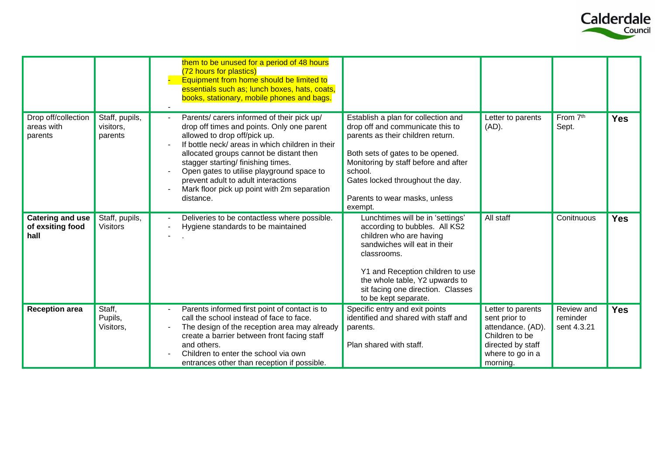

|                                                     |                                        | them to be unused for a period of 48 hours<br>(72 hours for plastics)<br>Equipment from home should be limited to<br>essentials such as; lunch boxes, hats, coats,<br>books, stationary, mobile phones and bags.                                                                                                                                                                                              |                                                                                                                                                                                                                                                                                     |                                                                                                                    |                                       |            |
|-----------------------------------------------------|----------------------------------------|---------------------------------------------------------------------------------------------------------------------------------------------------------------------------------------------------------------------------------------------------------------------------------------------------------------------------------------------------------------------------------------------------------------|-------------------------------------------------------------------------------------------------------------------------------------------------------------------------------------------------------------------------------------------------------------------------------------|--------------------------------------------------------------------------------------------------------------------|---------------------------------------|------------|
| Drop off/collection<br>areas with<br>parents        | Staff, pupils,<br>visitors,<br>parents | Parents/ carers informed of their pick up/<br>drop off times and points. Only one parent<br>allowed to drop off/pick up.<br>If bottle neck/ areas in which children in their<br>allocated groups cannot be distant then<br>stagger starting/ finishing times.<br>Open gates to utilise playground space to<br>prevent adult to adult interactions<br>Mark floor pick up point with 2m separation<br>distance. | Establish a plan for collection and<br>drop off and communicate this to<br>parents as their children return.<br>Both sets of gates to be opened.<br>Monitoring by staff before and after<br>school.<br>Gates locked throughout the day.<br>Parents to wear masks, unless<br>exempt. | Letter to parents<br>$(AD)$ .                                                                                      | From 7th<br>Sept.                     | <b>Yes</b> |
| <b>Catering and use</b><br>of exsiting food<br>hall | Staff, pupils,<br><b>Visitors</b>      | Deliveries to be contactless where possible.<br>Hygiene standards to be maintained                                                                                                                                                                                                                                                                                                                            | Lunchtimes will be in 'settings'<br>according to bubbles. All KS2<br>children who are having<br>sandwiches will eat in their<br>classrooms.<br>Y1 and Reception children to use<br>the whole table, Y2 upwards to<br>sit facing one direction. Classes<br>to be kept separate.      | All staff                                                                                                          | Conitnuous                            | <b>Yes</b> |
| <b>Reception area</b>                               | Staff,<br>Pupils,<br>Visitors,         | Parents informed first point of contact is to<br>call the school instead of face to face.<br>The design of the reception area may already<br>create a barrier between front facing staff<br>and others.<br>Children to enter the school via own                                                                                                                                                               | Specific entry and exit points<br>identified and shared with staff and<br>parents.<br>Plan shared with staff.                                                                                                                                                                       | Letter to parents<br>sent prior to<br>attendance. (AD).<br>Children to be<br>directed by staff<br>where to go in a | Review and<br>reminder<br>sent 4.3.21 | <b>Yes</b> |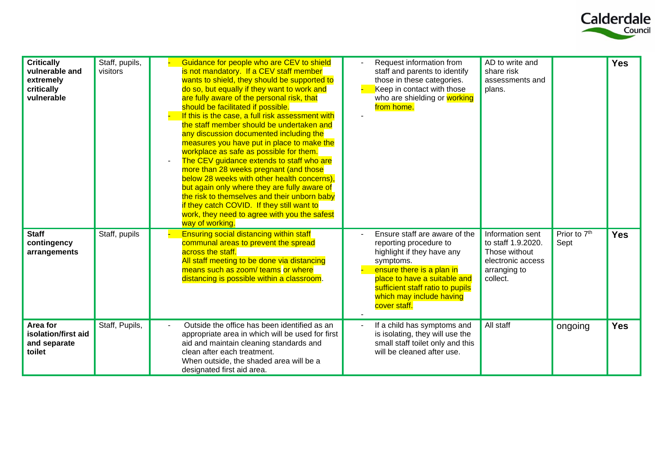

| <b>Critically</b><br>vulnerable and<br>extremely<br>critically<br>vulnerable | Staff, pupils,<br>visitors | Guidance for people who are CEV to shield<br>is not mandatory. If a CEV staff member<br>wants to shield, they should be supported to<br>do so, but equally if they want to work and<br>are fully aware of the personal risk, that<br>should be facilitated if possible.<br>If this is the case, a full risk assessment with<br>the staff member should be undertaken and<br>any discussion documented including the<br>measures you have put in place to make the<br>workplace as safe as possible for them.<br>The CEV guidance extends to staff who are<br>more than 28 weeks pregnant (and those<br>below 28 weeks with other health concerns),<br>but again only where they are fully aware of<br>the risk to themselves and their unborn baby<br>if they catch COVID. If they still want to<br>work, they need to agree with you the safest<br>way of working. | Request information from<br>staff and parents to identify<br>those in these categories.<br>Keep in contact with those<br>who are shielding or working<br>from home.                                                                             | AD to write and<br>share risk<br>assessments and<br>plans.                                               |                                  | <b>Yes</b> |
|------------------------------------------------------------------------------|----------------------------|---------------------------------------------------------------------------------------------------------------------------------------------------------------------------------------------------------------------------------------------------------------------------------------------------------------------------------------------------------------------------------------------------------------------------------------------------------------------------------------------------------------------------------------------------------------------------------------------------------------------------------------------------------------------------------------------------------------------------------------------------------------------------------------------------------------------------------------------------------------------|-------------------------------------------------------------------------------------------------------------------------------------------------------------------------------------------------------------------------------------------------|----------------------------------------------------------------------------------------------------------|----------------------------------|------------|
| <b>Staff</b><br>contingency<br>arrangements                                  | Staff, pupils              | <b>Ensuring social distancing within staff</b><br>communal areas to prevent the spread<br>across the staff.<br>All staff meeting to be done via distancing<br>means such as zoom/ teams or where<br>distancing is possible within a classroom.                                                                                                                                                                                                                                                                                                                                                                                                                                                                                                                                                                                                                      | Ensure staff are aware of the<br>reporting procedure to<br>highlight if they have any<br>symptoms.<br>ensure there is a plan in<br>place to have a suitable and<br>sufficient staff ratio to pupils<br>which may include having<br>cover staff. | Information sent<br>to staff 1.9.2020.<br>Those without<br>electronic access<br>arranging to<br>collect. | Prior to 7 <sup>th</sup><br>Sept | <b>Yes</b> |
| Area for<br>isolation/first aid<br>and separate<br>toilet                    | Staff, Pupils,             | Outside the office has been identified as an<br>appropriate area in which will be used for first<br>aid and maintain cleaning standards and<br>clean after each treatment.<br>When outside, the shaded area will be a<br>designated first aid area.                                                                                                                                                                                                                                                                                                                                                                                                                                                                                                                                                                                                                 | If a child has symptoms and<br>is isolating, they will use the<br>small staff toilet only and this<br>will be cleaned after use.                                                                                                                | All staff                                                                                                | ongoing                          | <b>Yes</b> |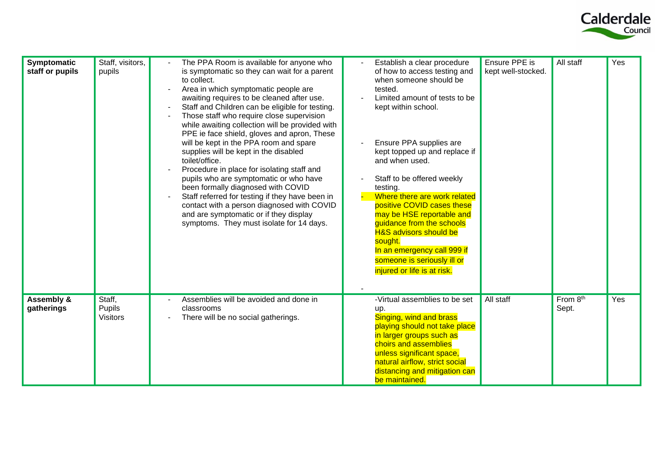

| Symptomatic                         | Staff, visitors,                    | The PPA Room is available for anyone who                                                                                                                                                                                                                                                                                                                                                                                                                                                                                                                                                                                                                                                                                                                                      | Establish a clear procedure                                                                                                                                                                                                                                                                                                                                                                                                                                                                                            | Ensure PPE is      | All staff         | Yes |
|-------------------------------------|-------------------------------------|-------------------------------------------------------------------------------------------------------------------------------------------------------------------------------------------------------------------------------------------------------------------------------------------------------------------------------------------------------------------------------------------------------------------------------------------------------------------------------------------------------------------------------------------------------------------------------------------------------------------------------------------------------------------------------------------------------------------------------------------------------------------------------|------------------------------------------------------------------------------------------------------------------------------------------------------------------------------------------------------------------------------------------------------------------------------------------------------------------------------------------------------------------------------------------------------------------------------------------------------------------------------------------------------------------------|--------------------|-------------------|-----|
| staff or pupils                     | pupils                              | is symptomatic so they can wait for a parent<br>to collect.<br>Area in which symptomatic people are<br>awaiting requires to be cleaned after use.<br>Staff and Children can be eligible for testing.<br>Those staff who require close supervision<br>while awaiting collection will be provided with<br>PPE ie face shield, gloves and apron, These<br>will be kept in the PPA room and spare<br>supplies will be kept in the disabled<br>toilet/office.<br>Procedure in place for isolating staff and<br>pupils who are symptomatic or who have<br>been formally diagnosed with COVID<br>Staff referred for testing if they have been in<br>contact with a person diagnosed with COVID<br>and are symptomatic or if they display<br>symptoms. They must isolate for 14 days. | of how to access testing and<br>when someone should be<br>tested.<br>Limited amount of tests to be<br>kept within school.<br>Ensure PPA supplies are<br>kept topped up and replace if<br>and when used.<br>Staff to be offered weekly<br>testing.<br>Where there are work related<br>positive COVID cases these<br>may be HSE reportable and<br>guidance from the schools<br><b>H&amp;S advisors should be</b><br>sought.<br>In an emergency call 999 if<br>someone is seriously ill or<br>injured or life is at risk. | kept well-stocked. |                   |     |
| <b>Assembly &amp;</b><br>gatherings | Staff,<br>Pupils<br><b>Visitors</b> | Assemblies will be avoided and done in<br>classrooms<br>There will be no social gatherings.                                                                                                                                                                                                                                                                                                                                                                                                                                                                                                                                                                                                                                                                                   | -Virtual assemblies to be set<br>up.<br>Singing, wind and brass<br>playing should not take place<br>in larger groups such as<br>choirs and assemblies<br>unless significant space,<br>natural airflow, strict social<br>distancing and mitigation can<br>be maintained.                                                                                                                                                                                                                                                | All staff          | From 8th<br>Sept. | Yes |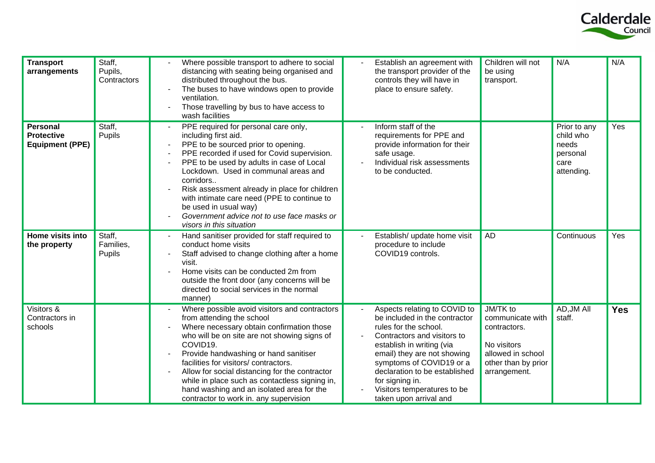

| <b>Transport</b><br>arrangements                               | Staff,<br>Pupils,<br>Contractors | Where possible transport to adhere to social<br>distancing with seating being organised and<br>distributed throughout the bus.<br>The buses to have windows open to provide<br>ventilation.<br>Those travelling by bus to have access to<br>wash facilities                                                                                                                                                                                                     | Establish an agreement with<br>the transport provider of the<br>controls they will have in<br>place to ensure safety.                                                                                                                                                                                                      | Children will not<br>be using<br>transport.                                                                             | N/A                                                                  | N/A        |
|----------------------------------------------------------------|----------------------------------|-----------------------------------------------------------------------------------------------------------------------------------------------------------------------------------------------------------------------------------------------------------------------------------------------------------------------------------------------------------------------------------------------------------------------------------------------------------------|----------------------------------------------------------------------------------------------------------------------------------------------------------------------------------------------------------------------------------------------------------------------------------------------------------------------------|-------------------------------------------------------------------------------------------------------------------------|----------------------------------------------------------------------|------------|
| <b>Personal</b><br><b>Protective</b><br><b>Equipment (PPE)</b> | Staff,<br>Pupils                 | PPE required for personal care only,<br>including first aid.<br>PPE to be sourced prior to opening.<br>PPE recorded if used for Covid supervision.<br>PPE to be used by adults in case of Local<br>Lockdown. Used in communal areas and<br>corridors<br>Risk assessment already in place for children<br>with intimate care need (PPE to continue to<br>be used in usual way)<br>Government advice not to use face masks or<br>visors in this situation         | Inform staff of the<br>requirements for PPE and<br>provide information for their<br>safe usage.<br>Individual risk assessments<br>to be conducted.                                                                                                                                                                         |                                                                                                                         | Prior to any<br>child who<br>needs<br>personal<br>care<br>attending. | Yes        |
| Home visits into<br>the property                               | Staff,<br>Families,<br>Pupils    | Hand sanitiser provided for staff required to<br>conduct home visits<br>Staff advised to change clothing after a home<br>visit.<br>Home visits can be conducted 2m from<br>outside the front door (any concerns will be<br>directed to social services in the normal<br>manner)                                                                                                                                                                                 | Establish/ update home visit<br>procedure to include<br>COVID19 controls.                                                                                                                                                                                                                                                  | AD                                                                                                                      | Continuous                                                           | Yes        |
| Visitors &<br>Contractors in<br>schools                        |                                  | Where possible avoid visitors and contractors<br>from attending the school<br>Where necessary obtain confirmation those<br>who will be on site are not showing signs of<br>COVID19.<br>Provide handwashing or hand sanitiser<br>facilities for visitors/contractors.<br>Allow for social distancing for the contractor<br>while in place such as contactless signing in,<br>hand washing and an isolated area for the<br>contractor to work in. any supervision | Aspects relating to COVID to<br>be included in the contractor<br>rules for the school.<br>Contractors and visitors to<br>establish in writing (via<br>email) they are not showing<br>symptoms of COVID19 or a<br>declaration to be established<br>for signing in.<br>Visitors temperatures to be<br>taken upon arrival and | JM/TK to<br>communicate with<br>contractors.<br>No visitors<br>allowed in school<br>other than by prior<br>arrangement. | AD, JM All<br>staff.                                                 | <b>Yes</b> |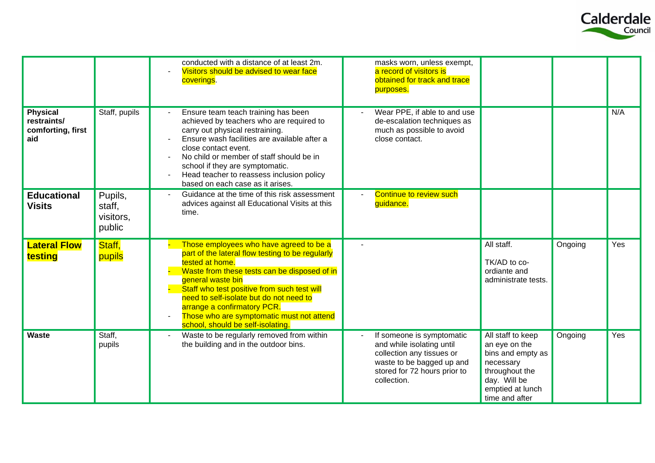

|                                                            |                                          | conducted with a distance of at least 2m.<br>Visitors should be advised to wear face<br>coverings.                                                                                                                                                                                                                                                                                             | masks worn, unless exempt,<br>a record of visitors is<br>obtained for track and trace<br>purposes.                                                              |                                                                                                                                              |         |     |
|------------------------------------------------------------|------------------------------------------|------------------------------------------------------------------------------------------------------------------------------------------------------------------------------------------------------------------------------------------------------------------------------------------------------------------------------------------------------------------------------------------------|-----------------------------------------------------------------------------------------------------------------------------------------------------------------|----------------------------------------------------------------------------------------------------------------------------------------------|---------|-----|
| <b>Physical</b><br>restraints/<br>comforting, first<br>aid | Staff, pupils                            | Ensure team teach training has been<br>achieved by teachers who are required to<br>carry out physical restraining.<br>Ensure wash facilities are available after a<br>close contact event.<br>No child or member of staff should be in<br>school if they are symptomatic.<br>Head teacher to reassess inclusion policy<br>based on each case as it arises.                                     | Wear PPE, if able to and use<br>de-escalation techniques as<br>much as possible to avoid<br>close contact.                                                      |                                                                                                                                              |         | N/A |
| <b>Educational</b><br><b>Visits</b>                        | Pupils,<br>staff,<br>visitors,<br>public | Guidance at the time of this risk assessment<br>advices against all Educational Visits at this<br>time.                                                                                                                                                                                                                                                                                        | Continue to review such<br>guidance.                                                                                                                            |                                                                                                                                              |         |     |
| <b>Lateral Flow</b><br>testing                             | Staff,<br>pupils                         | Those employees who have agreed to be a<br>part of the lateral flow testing to be regularly<br>tested at home.<br>Waste from these tests can be disposed of in<br>general waste bin<br>Staff who test positive from such test will<br>need to self-isolate but do not need to<br>arrange a confirmatory PCR.<br>Those who are symptomatic must not attend<br>school, should be self-isolating. |                                                                                                                                                                 | All staff.<br>TK/AD to co-<br>ordiante and<br>administrate tests.                                                                            | Ongoing | Yes |
| Waste                                                      | Staff,<br>pupils                         | Waste to be regularly removed from within<br>the building and in the outdoor bins.                                                                                                                                                                                                                                                                                                             | If someone is symptomatic<br>and while isolating until<br>collection any tissues or<br>waste to be bagged up and<br>stored for 72 hours prior to<br>collection. | All staff to keep<br>an eye on the<br>bins and empty as<br>necessary<br>throughout the<br>day. Will be<br>emptied at lunch<br>time and after | Ongoing | Yes |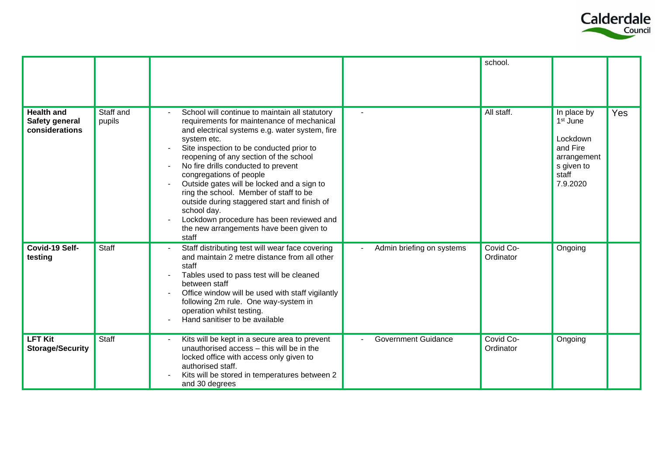

|                                                       |                     |                                                                                                                                                                                                                                                                                                                                                                                                                                                                                                                                                                              |                            | school.                |                                                                                                               |     |
|-------------------------------------------------------|---------------------|------------------------------------------------------------------------------------------------------------------------------------------------------------------------------------------------------------------------------------------------------------------------------------------------------------------------------------------------------------------------------------------------------------------------------------------------------------------------------------------------------------------------------------------------------------------------------|----------------------------|------------------------|---------------------------------------------------------------------------------------------------------------|-----|
| <b>Health and</b><br>Safety general<br>considerations | Staff and<br>pupils | School will continue to maintain all statutory<br>requirements for maintenance of mechanical<br>and electrical systems e.g. water system, fire<br>system etc.<br>Site inspection to be conducted prior to<br>reopening of any section of the school<br>No fire drills conducted to prevent<br>congregations of people<br>Outside gates will be locked and a sign to<br>ring the school. Member of staff to be<br>outside during staggered start and finish of<br>school day.<br>Lockdown procedure has been reviewed and<br>the new arrangements have been given to<br>staff |                            | All staff.             | In place by<br>1 <sup>st</sup> June<br>Lockdown<br>and Fire<br>arrangement<br>s given to<br>staff<br>7.9.2020 | Yes |
| Covid-19 Self-<br>testing                             | <b>Staff</b>        | Staff distributing test will wear face covering<br>and maintain 2 metre distance from all other<br>staff<br>Tables used to pass test will be cleaned<br>between staff<br>Office window will be used with staff vigilantly<br>following 2m rule. One way-system in<br>operation whilst testing.<br>Hand sanitiser to be available                                                                                                                                                                                                                                             | Admin briefing on systems  | Covid Co-<br>Ordinator | Ongoing                                                                                                       |     |
| <b>LFT Kit</b><br><b>Storage/Security</b>             | Staff               | Kits will be kept in a secure area to prevent<br>unauthorised access - this will be in the<br>locked office with access only given to<br>authorised staff.<br>Kits will be stored in temperatures between 2<br>and 30 degrees                                                                                                                                                                                                                                                                                                                                                | <b>Government Guidance</b> | Covid Co-<br>Ordinator | Ongoing                                                                                                       |     |